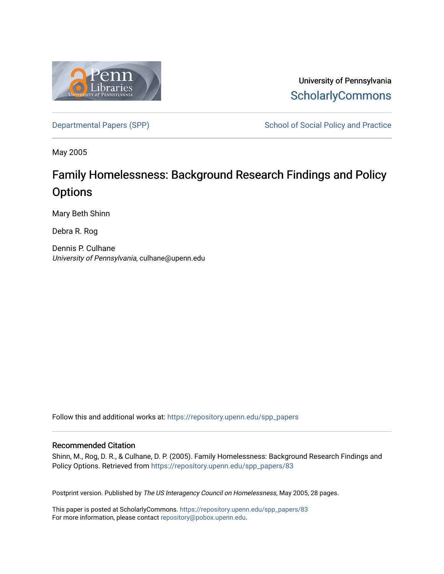

University of Pennsylvania **ScholarlyCommons** 

[Departmental Papers \(SPP\)](https://repository.upenn.edu/spp_papers) School of Social Policy and Practice

May 2005

# Family Homelessness: Background Research Findings and Policy **Options**

Mary Beth Shinn

Debra R. Rog

Dennis P. Culhane University of Pennsylvania, culhane@upenn.edu

Follow this and additional works at: [https://repository.upenn.edu/spp\\_papers](https://repository.upenn.edu/spp_papers?utm_source=repository.upenn.edu%2Fspp_papers%2F83&utm_medium=PDF&utm_campaign=PDFCoverPages) 

#### Recommended Citation

Shinn, M., Rog, D. R., & Culhane, D. P. (2005). Family Homelessness: Background Research Findings and Policy Options. Retrieved from [https://repository.upenn.edu/spp\\_papers/83](https://repository.upenn.edu/spp_papers/83?utm_source=repository.upenn.edu%2Fspp_papers%2F83&utm_medium=PDF&utm_campaign=PDFCoverPages) 

Postprint version. Published by The US Interagency Council on Homelessness, May 2005, 28 pages.

This paper is posted at ScholarlyCommons. [https://repository.upenn.edu/spp\\_papers/83](https://repository.upenn.edu/spp_papers/83)  For more information, please contact [repository@pobox.upenn.edu.](mailto:repository@pobox.upenn.edu)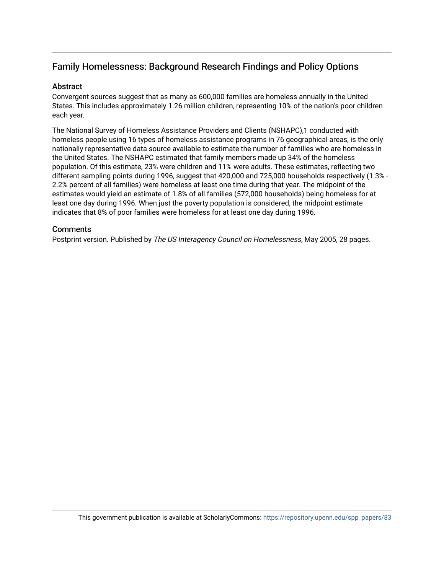## Family Homelessness: Background Research Findings and Policy Options

#### Abstract

Convergent sources suggest that as many as 600,000 families are homeless annually in the United States. This includes approximately 1.26 million children, representing 10% of the nation's poor children each year.

The National Survey of Homeless Assistance Providers and Clients (NSHAPC),1 conducted with homeless people using 16 types of homeless assistance programs in 76 geographical areas, is the only nationally representative data source available to estimate the number of families who are homeless in the United States. The NSHAPC estimated that family members made up 34% of the homeless population. Of this estimate, 23% were children and 11% were adults. These estimates, reflecting two different sampling points during 1996, suggest that 420,000 and 725,000 households respectively (1.3% - 2.2% percent of all families) were homeless at least one time during that year. The midpoint of the estimates would yield an estimate of 1.8% of all families (572,000 households) being homeless for at least one day during 1996. When just the poverty population is considered, the midpoint estimate indicates that 8% of poor families were homeless for at least one day during 1996.

#### **Comments**

Postprint version. Published by The US Interagency Council on Homelessness, May 2005, 28 pages.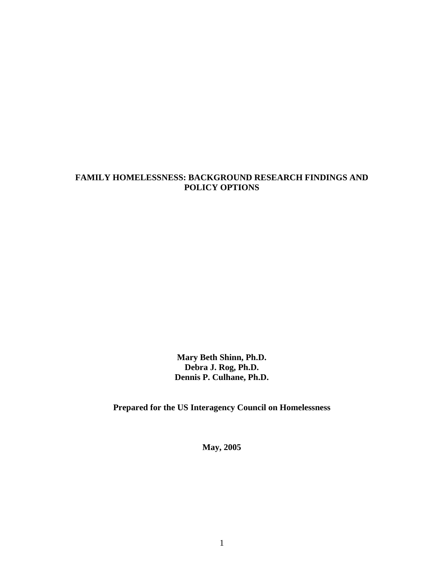#### **FAMILY HOMELESSNESS: BACKGROUND RESEARCH FINDINGS AND POLICY OPTIONS**

**Mary Beth Shinn, Ph.D. Debra J. Rog, Ph.D. Dennis P. Culhane, Ph.D.** 

**Prepared for the US Interagency Council on Homelessness** 

**May, 2005**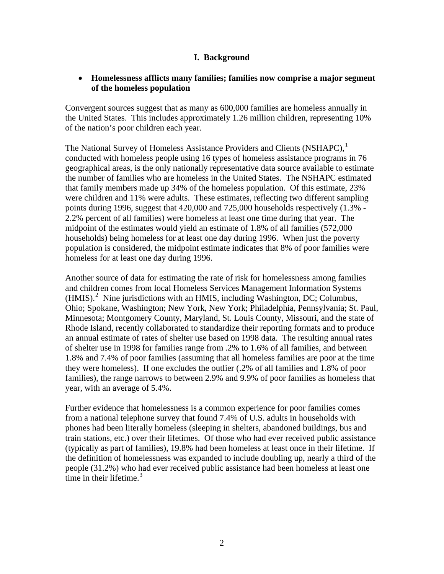#### **I. Background**

#### • **Homelessness afflicts many families; families now comprise a major segment of the homeless population**

Convergent sources suggest that as many as 600,000 families are homeless annually in the United States. This includes approximately 1.26 million children, representing 10% of the nation's poor children each year.

The National Survey of Homeless Assistance Providers and Clients (NSHAPC),<sup>[1](#page-24-0)</sup> conducted with homeless people using 16 types of homeless assistance programs in 76 geographical areas, is the only nationally representative data source available to estimate the number of families who are homeless in the United States. The NSHAPC estimated that family members made up 34% of the homeless population. Of this estimate, 23% were children and 11% were adults. These estimates, reflecting two different sampling points during 1996, suggest that 420,000 and 725,000 households respectively (1.3% - 2.2% percent of all families) were homeless at least one time during that year. The midpoint of the estimates would yield an estimate of 1.8% of all families (572,000 households) being homeless for at least one day during 1996. When just the poverty population is considered, the midpoint estimate indicates that 8% of poor families were homeless for at least one day during 1996.

Another source of data for estimating the rate of risk for homelessness among families and children comes from local Homeless Services Management Information Systems  $(HMIS)<sup>2</sup>$  $(HMIS)<sup>2</sup>$  $(HMIS)<sup>2</sup>$  Nine jurisdictions with an HMIS, including Washington, DC; Columbus, Ohio; Spokane, Washington; New York, New York; Philadelphia, Pennsylvania; St. Paul, Minnesota; Montgomery County, Maryland, St. Louis County, Missouri, and the state of Rhode Island, recently collaborated to standardize their reporting formats and to produce an annual estimate of rates of shelter use based on 1998 data. The resulting annual rates of shelter use in 1998 for families range from .2% to 1.6% of all families, and between 1.8% and 7.4% of poor families (assuming that all homeless families are poor at the time they were homeless). If one excludes the outlier (.2% of all families and 1.8% of poor families), the range narrows to between 2.9% and 9.9% of poor families as homeless that year, with an average of 5.4%.

Further evidence that homelessness is a common experience for poor families comes from a national telephone survey that found 7.4% of U.S. adults in households with phones had been literally homeless (sleeping in shelters, abandoned buildings, bus and train stations, etc.) over their lifetimes. Of those who had ever received public assistance (typically as part of families), 19.8% had been homeless at least once in their lifetime. If the definition of homelessness was expanded to include doubling up, nearly a third of the people (31.2%) who had ever received public assistance had been homeless at least one time in their lifetime. $3$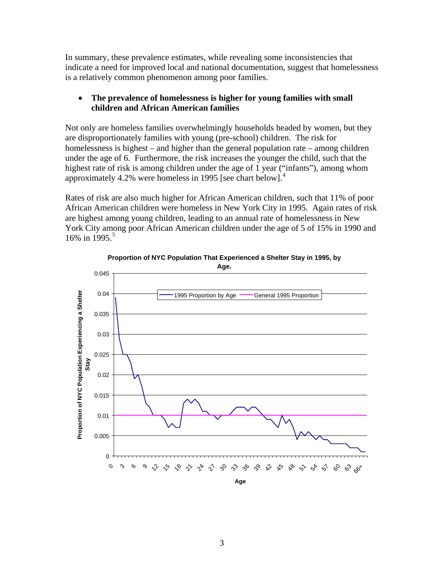In summary, these prevalence estimates, while revealing some inconsistencies that indicate a need for improved local and national documentation, suggest that homelessness is a relatively common phenomenon among poor families.

#### • **The prevalence of homelessness is higher for young families with small children and African American families**

Not only are homeless families overwhelmingly households headed by women, but they are disproportionately families with young (pre-school) children. The risk for homelessness is highest – and higher than the general population rate – among children under the age of 6. Furthermore, the risk increases the younger the child, such that the highest rate of risk is among children under the age of 1 year ("infants"), among whom approximately [4](#page-24-1).2% were homeless in 1995 [see chart below].<sup>4</sup>

Rates of risk are also much higher for African American children, such that 11% of poor African American children were homeless in New York City in 1995. Again rates of risk are highest among young children, leading to an annual rate of homelessness in New York City among poor African American children under the age of 5 of 15% in 1990 and 16% in 199[5](#page-24-1).<sup>5</sup>



**Proportion of NYC Population That Experienced a Shelter Stay in 1995, by Age.**

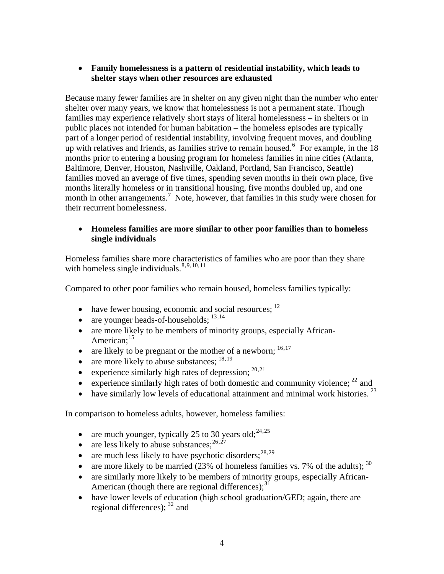## • **Family homelessness is a pattern of residential instability, which leads to shelter stays when other resources are exhausted**

Because many fewer families are in shelter on any given night than the number who enter shelter over many years, we know that homelessness is not a permanent state. Though families may experience relatively short stays of literal homelessness – in shelters or in public places not intended for human habitation – the homeless episodes are typically part of a longer period of residential instability, involving frequent moves, and doubling up with relatives and friends, as families strive to remain housed.<sup>[6](#page-24-1)</sup> For example, in the  $18$ months prior to entering a housing program for homeless families in nine cities (Atlanta, Baltimore, Denver, Houston, Nashville, Oakland, Portland, San Francisco, Seattle) families moved an average of five times, spending seven months in their own place, five months literally homeless or in transitional housing, five months doubled up, and one month in other arrangements.<sup>[7](#page-24-1)</sup> Note, however, that families in this study were chosen for their recurrent homelessness.

#### • **Homeless families are more similar to other poor families than to homeless single individuals**

Homeless families share more characteristics of families who are poor than they share with homeless single individuals. $8,9,10,11$  $8,9,10,11$  $8,9,10,11$  $8,9,10,11$  $8,9,10,11$  $8,9,10,11$  $8,9,10,11$ 

Compared to other poor families who remain housed, homeless families typically:

- have fewer housing, economic and social resources;  $^{12}$  $^{12}$  $^{12}$
- are younger heads-of-households;  $^{13,14}$  $^{13,14}$  $^{13,14}$  $^{13,14}$  $^{13,14}$
- are more likely to be members of minority groups, especially African-
- American;<sup>[15](#page-24-1)</sup> are likely to be pregnant or the mother of a newborn;<sup>16,17</sup>
- are more likely to abuse substances;  $^{18,19}$  $^{18,19}$  $^{18,19}$  $^{18,19}$  $^{18,19}$
- experience similarly high rates of depression;  $^{20,21}$  $^{20,21}$  $^{20,21}$
- experience similarly high rates of both domestic and community violence;  $^{22}$  $^{22}$  $^{22}$  and
- have similarly low levels of educational attainment and minimal work histories.  $^{23}$

n comparison to homeless adults, however, homeless families: I

- are much younger, typically 25 to 30 years old;<sup>24,25</sup>
- are less likely to abuse substances;  $^{26,27}$  $^{26,27}$  $^{26,27}$  $^{26,27}$  $^{26,27}$
- are much less likely to have psychotic disorders;  $28,29$
- are more likely to be married (23% of homeless families vs. 7% of the adults);  $30$
- [are similarly more likely to be members of minority g](#page-25-0)roups, especially African-American (though there are regional differences); $^{31}$  $^{31}$  $^{31}$
- have lower levels of education (high school graduation/GED; again, there are regional differences);  $32$  and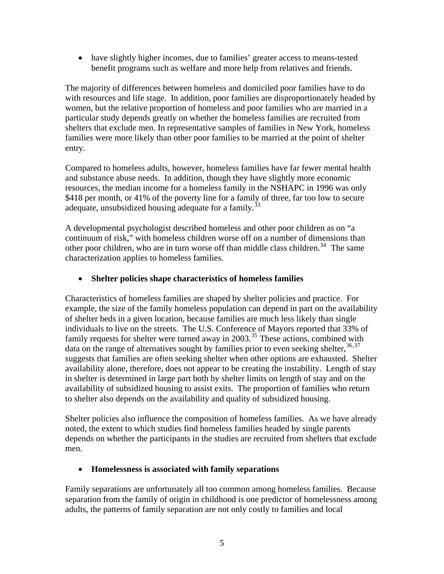• have slightly higher incomes, due to families' greater access to means-tested benefit programs such as welfare and more help from relatives and friends.

The majority of differences between homeless and domiciled poor families have to do with resources and life stage. In addition, poor families are disproportionately headed by women, but the relative proportion of homeless and poor families who are married in a particular study depends greatly on whether the homeless families are recruited from shelters that exclude men. In representative samples of families in New York, homeless families were more likely than other poor families to be married at the point of shelter entry.

Compared to homeless adults, however, homeless families have far fewer mental health and substance abuse needs. In addition, though they have slightly more economic resources, the median income for a homeless family in the NSHAPC in 1996 was only \$418 per month, or 41% of the poverty line for a family of three, far too low to secure adequate, unsubsidized housing adequate for a family.<sup>[33](#page-25-0)</sup>

A developmental psychologist described homeless and other poor children as on "a continuum of risk," with homeless children worse off on a number of dimensions than other poor children, who are in turn worse off than middle class children.<sup>[34](#page-25-0)</sup> The same characterization applies to homeless families.

#### • **Shelter policies shape characteristics of homeless families**

Characteristics of homeless families are shaped by shelter policies and practice. For example, the size of the family homeless population can depend in part on the availability of shelter beds in a given location, because families are much less likely than single individuals to live on the streets. The U.S. Conference of Mayors reported that 33% of family requests for shelter were turned away in 2003.<sup>[35](#page-25-0)</sup> These actions, combined with data on the range of alternatives sought by families prior to even seeking shelter,  $36,37$  $36,37$  $36,37$ suggests that families are often seeking shelter when other options are exhausted. Shelter availability alone, therefore, does not appear to be creating the instability. Length of stay in shelter is determined in large part both by shelter limits on length of stay and on the availability of subsidized housing to assist exits. The proportion of families who return to shelter also depends on the availability and quality of subsidized housing.

Shelter policies also influence the composition of homeless families. As we have already noted, the extent to which studies find homeless families headed by single parents depends on whether the participants in the studies are recruited from shelters that exclude men.

#### • **Homelessness is associated with family separations**

Family separations are unfortunately all too common among homeless families. Because separation from the family of origin in childhood is one predictor of homelessness among adults, the patterns of family separation are not only costly to families and local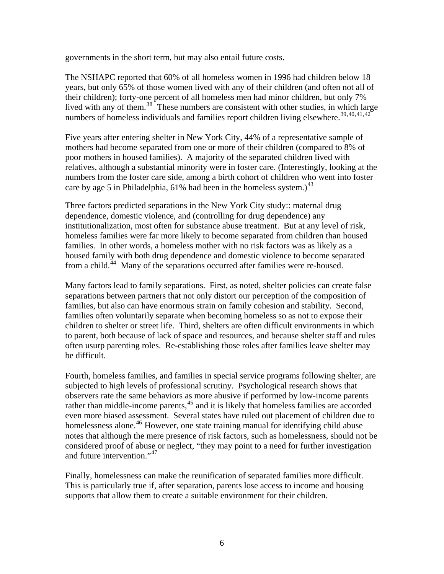governments in the short term, but may also entail future costs.

The NSHAPC reported that 60% of all homeless women in 1996 had children below 18 years, but only 65% of those women lived with any of their children (and often not all of their children); forty-one percent of all homeless men had minor children, but only 7% lived with any of them.<sup>[38](#page-25-0)</sup> These numbers are consistent with other studies, in which large numbers of homeless individuals and families report children living elsewhere.<sup>[39](#page-25-0),[40](#page-25-0),[41](#page-25-0),[42](#page-25-0)</sup>

Five years after entering shelter in New York City, 44% of a representative sample of mothers had become separated from one or more of their children (compared to 8% of poor mothers in housed families). A majority of the separated children lived with relatives, although a substantial minority were in foster care. (Interestingly, looking at the numbers from the foster care side, among a birth cohort of children who went into foster care by age 5 in Philadelphia,  $61\%$  had been in the homeless system.)<sup>[43](#page-25-0)</sup>

Three factors predicted separations in the New York City study:: maternal drug dependence, domestic violence, and (controlling for drug dependence) any institutionalization, most often for substance abuse treatment. But at any level of risk, homeless families were far more likely to become separated from children than housed families. In other words, a homeless mother with no risk factors was as likely as a housed family with both drug dependence and domestic violence to become separated from a child.<sup>[44](#page-25-0)</sup> Many of the separations occurred after families were re-housed.

Many factors lead to family separations. First, as noted, shelter policies can create false separations between partners that not only distort our perception of the composition of families, but also can have enormous strain on family cohesion and stability. Second, families often voluntarily separate when becoming homeless so as not to expose their children to shelter or street life. Third, shelters are often difficult environments in which to parent, both because of lack of space and resources, and because shelter staff and rules often usurp parenting roles. Re-establishing those roles after families leave shelter may be difficult.

Fourth, homeless families, and families in special service programs following shelter, are subjected to high levels of professional scrutiny. Psychological research shows that observers rate the same behaviors as more abusive if performed by low-income parents rather than middle-income parents, $45$  and it is likely that homeless families are accorded even more biased assessment. Several states have ruled out placement of children due to homelessness alone.<sup>[46](#page-25-0)</sup> However, one state training manual for identifying child abuse notes that although the mere presence of risk factors, such as homelessness, should not be considered proof of abuse or neglect, "they may point to a need for further investigation and future intervention."<sup>[47](#page-25-0)</sup>

Finally, homelessness can make the reunification of separated families more difficult. This is particularly true if, after separation, parents lose access to income and housing supports that allow them to create a suitable environment for their children.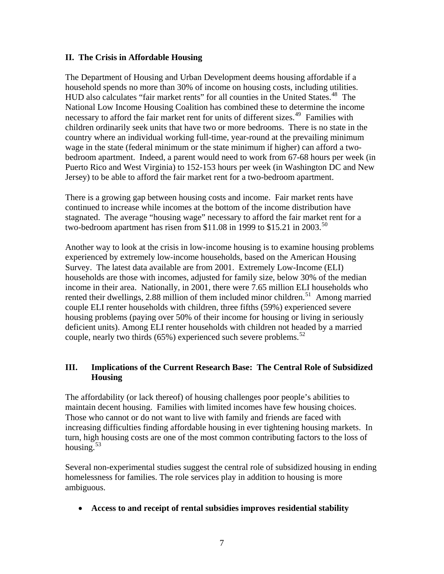#### **II. The Crisis in Affordable Housing**

The Department of Housing and Urban Development deems housing affordable if a household spends no more than 30% of income on housing costs, including utilities. HUD also calculates "fair market rents" for all counties in the United States.<sup>[48](#page-25-0)</sup> The National Low Income Housing Coalition has combined these to determine the income necessary to afford the fair market rent for units of different sizes.<sup>[49](#page-26-0)</sup> Families with children ordinarily seek units that have two or more bedrooms. There is no state in the country where an individual working full-time, year-round at the prevailing minimum wage in the state (federal minimum or the state minimum if higher) can afford a twobedroom apartment. Indeed, a parent would need to work from 67-68 hours per week (in Puerto Rico and West Virginia) to 152-153 hours per week (in Washington DC and New Jersey) to be able to afford the fair market rent for a two-bedroom apartment.

There is a growing gap between housing costs and income. Fair market rents have continued to increase while incomes at the bottom of the income distribution have stagnated. The average "housing wage" necessary to afford the fair market rent for a two-bedroom apartment has risen from \$11.08 in 1999 to \$15.21 in 2003.<sup>[50](#page-26-0)</sup>

Another way to look at the crisis in low-income housing is to examine housing problems experienced by extremely low-income households, based on the American Housing Survey. The latest data available are from 2001. Extremely Low-Income (ELI) households are those with incomes, adjusted for family size, below 30% of the median income in their area. Nationally, in 2001, there were 7.65 million ELI households who rented their dwellings, 2.88 million of them included minor children.<sup>[51](#page-26-0)</sup> Among married couple ELI renter households with children, three fifths (59%) experienced severe housing problems (paying over 50% of their income for housing or living in seriously deficient units). Among ELI renter households with children not headed by a married couple, nearly two thirds  $(65\%)$  experienced such severe problems.<sup>[52](#page-26-0)</sup>

## **III. Implications of the Current Research Base: The Central Role of Subsidized Housing**

The affordability (or lack thereof) of housing challenges poor people's abilities to maintain decent housing. Families with limited incomes have few housing choices. Those who cannot or do not want to live with family and friends are faced with increasing difficulties finding affordable housing in ever tightening housing markets. In turn, high housing costs are one of the most common contributing factors to the loss of housing. $53$ 

Several non-experimental studies suggest the central role of subsidized housing in ending homelessness for families. The role services play in addition to housing is more ambiguous.

• **Access to and receipt of rental subsidies improves residential stability**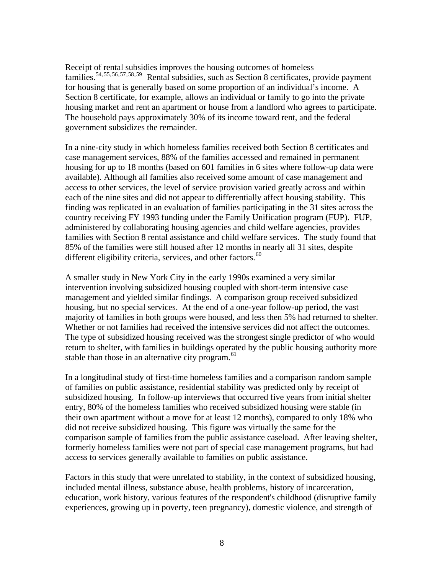Receipt of rental subsidies improves the housing outcomes of homeless families.<sup>[54](#page-26-0),[55](#page-26-0),[56](#page-26-0),[57](#page-26-0),[58](#page-26-0),[59](#page-26-0)</sup> Rental subsidies, such as Section 8 certificates, provide payment for housing that is generally based on some proportion of an individual's income. A Section 8 certificate, for example, allows an individual or family to go into the private housing market and rent an apartment or house from a landlord who agrees to participate. The household pays approximately 30% of its income toward rent, and the federal government subsidizes the remainder.

In a nine-city study in which homeless families received both Section 8 certificates and case management services, 88% of the families accessed and remained in permanent housing for up to 18 months (based on 601 families in 6 sites where follow-up data were available). Although all families also received some amount of case management and access to other services, the level of service provision varied greatly across and within each of the nine sites and did not appear to differentially affect housing stability. This finding was replicated in an evaluation of families participating in the 31 sites across the country receiving FY 1993 funding under the Family Unification program (FUP). FUP, administered by collaborating housing agencies and child welfare agencies, provides families with Section 8 rental assistance and child welfare services. The study found that 85% of the families were still housed after 12 months in nearly all 31 sites, despite different eligibility criteria, services, and other factors.<sup>[60](#page-26-0)</sup>

A smaller study in New York City in the early 1990s examined a very similar intervention involving subsidized housing coupled with short-term intensive case management and yielded similar findings. A comparison group received subsidized housing, but no special services. At the end of a one-year follow-up period, the vast majority of families in both groups were housed, and less then 5% had returned to shelter. Whether or not families had received the intensive services did not affect the outcomes. The type of subsidized housing received was the strongest single predictor of who would return to shelter, with families in buildings operated by the public housing authority more stable than those in an alternative city program.<sup>[61](#page-26-0)</sup>

In a longitudinal study of first-time homeless families and a comparison random sample of families on public assistance, residential stability was predicted only by receipt of subsidized housing. In follow-up interviews that occurred five years from initial shelter entry, 80% of the homeless families who received subsidized housing were stable (in their own apartment without a move for at least 12 months), compared to only 18% who did not receive subsidized housing. This figure was virtually the same for the comparison sample of families from the public assistance caseload. After leaving shelter, formerly homeless families were not part of special case management programs, but had access to services generally available to families on public assistance.

Factors in this study that were unrelated to stability, in the context of subsidized housing, included mental illness, substance abuse, health problems, history of incarceration, education, work history, various features of the respondent's childhood (disruptive family experiences, growing up in poverty, teen pregnancy), domestic violence, and strength of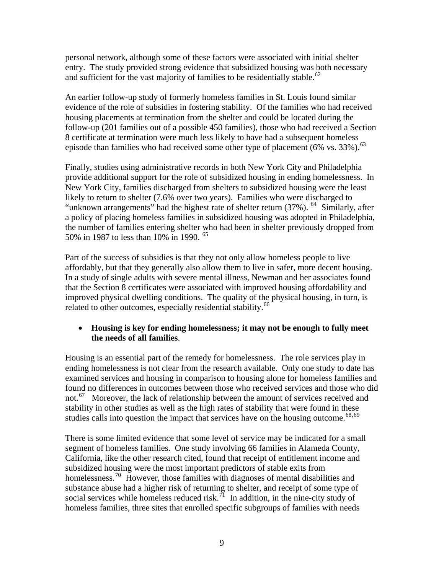personal network, although some of these factors were associated with initial shelter entry. The study provided strong evidence that subsidized housing was both necessary and sufficient for the vast majority of families to be residentially stable.<sup>[62](#page-26-0)</sup>

An earlier follow-up study of formerly homeless families in St. Louis found similar evidence of the role of subsidies in fostering stability. Of the families who had received housing placements at termination from the shelter and could be located during the follow-up (201 families out of a possible 450 families), those who had received a Section 8 certificate at termination were much less likely to have had a subsequent homeless episode than families who had received some other type of placement (6% vs. 33%).<sup>[63](#page-26-0)</sup>

Finally, studies using administrative records in both New York City and Philadelphia provide additional support for the role of subsidized housing in ending homelessness. In New York City, families discharged from shelters to subsidized housing were the least likely to return to shelter (7.6% over two years). Families who were discharged to "unknown arrangements" had the highest rate of shelter return (37%). <sup>[64](#page-26-0)</sup> Similarly, after a policy of placing homeless families in subsidized housing was adopted in Philadelphia, the number of families entering shelter who had been in shelter previously dropped from 50% in 1987 to less than 10% in 1990. [65](#page-26-0)

Part of the success of subsidies is that they not only allow homeless people to live affordably, but that they generally also allow them to live in safer, more decent housing. In a study of single adults with severe mental illness, Newman and her associates found that the Section 8 certificates were associated with improved housing affordability and improved physical dwelling conditions. The quality of the physical housing, in turn, is related to other outcomes, especially residential stability.<sup>[66](#page-26-0)</sup>

#### • **Housing is key for ending homelessness; it may not be enough to fully meet the needs of all families**.

Housing is an essential part of the remedy for homelessness. The role services play in ending homelessness is not clear from the research available. Only one study to date has examined services and housing in comparison to housing alone for homeless families and found no differences in outcomes between those who received services and those who did not.<sup>[67](#page-26-0)</sup> Moreover, the lack of relationship between the amount of services received and stability in other studies as well as the high rates of stability that were found in these studies calls into question the impact that services have on the housing outcome. $^{68,69}$  $^{68,69}$  $^{68,69}$  $^{68,69}$  $^{68,69}$ 

There is some limited evidence that some level of service may be indicated for a small segment of homeless families. One study involving 66 families in Alameda County, California, like the other research cited, found that receipt of entitlement income and subsidized housing were the most important predictors of stable exits from homelessness.<sup>[70](#page-26-0)</sup> However, those families with diagnoses of mental disabilities and substance abuse had a higher risk of returning to shelter, and receipt of some type of social services while homeless reduced risk.<sup> $71$ </sup> In addition, in the nine-city study of homeless families, three sites that enrolled specific subgroups of families with needs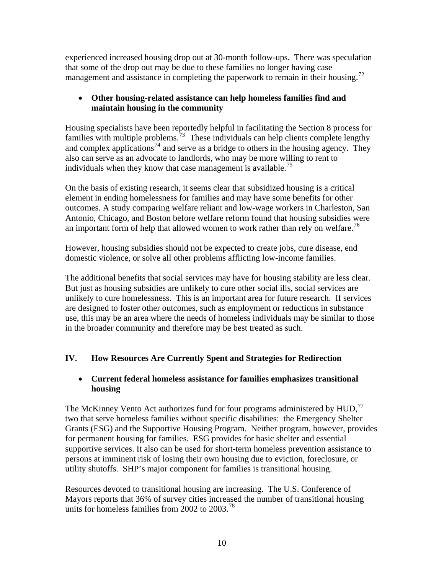experienced increased housing drop out at 30-month follow-ups. There was speculation that some of the drop out may be due to these families no longer having case management and assistance in completing the paperwork to remain in their housing.<sup>[72](#page-26-0)</sup>

## • **Other housing-related assistance can help homeless families find and maintain housing in the community**

Housing specialists have been reportedly helpful in facilitating the Section 8 process for families with multiple problems.<sup>[73](#page-26-0)</sup> These individuals can help clients complete lengthy and complex applications<sup>[74](#page-26-0)</sup> and serve as a bridge to others in the housing agency. They also can serve as an advocate to landlords, who may be more willing to rent to individuals when they know that case management is available.<sup>[75](#page-26-0)</sup>

On the basis of existing research, it seems clear that subsidized housing is a critical element in ending homelessness for families and may have some benefits for other outcomes. A study comparing welfare reliant and low-wage workers in Charleston, San Antonio, Chicago, and Boston before welfare reform found that housing subsidies were an important form of help that allowed women to work rather than rely on welfare.<sup>[76](#page-26-0)</sup>

However, housing subsidies should not be expected to create jobs, cure disease, end domestic violence, or solve all other problems afflicting low-income families.

The additional benefits that social services may have for housing stability are less clear. But just as housing subsidies are unlikely to cure other social ills, social services are unlikely to cure homelessness. This is an important area for future research. If services are designed to foster other outcomes, such as employment or reductions in substance use, this may be an area where the needs of homeless individuals may be similar to those in the broader community and therefore may be best treated as such.

## **IV. How Resources Are Currently Spent and Strategies for Redirection**

## • **Current federal homeless assistance for families emphasizes transitional housing**

The McKinney Vento Act authorizes fund for four programs administered by  $HUD$ ,  $^{77}$  $^{77}$  $^{77}$ two that serve homeless families without specific disabilities: the Emergency Shelter Grants (ESG) and the Supportive Housing Program. Neither program, however, provides for permanent housing for families. ESG provides for basic shelter and essential supportive services. It also can be used for short-term homeless prevention assistance to persons at imminent risk of losing their own housing due to eviction, foreclosure, or utility shutoffs. SHP's major component for families is transitional housing.

Resources devoted to transitional housing are increasing. The U.S. Conference of Mayors reports that 36% of survey cities increased the number of transitional housing units for homeless families from 2002 to  $2003.^{78}$  $2003.^{78}$  $2003.^{78}$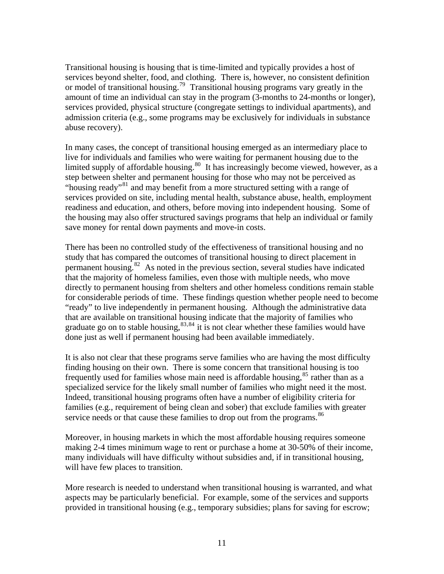Transitional housing is housing that is time-limited and typically provides a host of services beyond shelter, food, and clothing. There is, however, no consistent definition or model of transitional housing.[79](#page-27-0) Transitional housing programs vary greatly in the amount of time an individual can stay in the program (3-months to 24-months or longer), services provided, physical structure (congregate settings to individual apartments), and admission criteria (e.g., some programs may be exclusively for individuals in substance abuse recovery).

In many cases, the concept of transitional housing emerged as an intermediary place to live for individuals and families who were waiting for permanent housing due to the limited supply of affordable housing. $80$  It has increasingly become viewed, however, as a step between shelter and permanent housing for those who may not be perceived as "housing ready"<sup>[81](#page-27-0)</sup> and may benefit from a more structured setting with a range of services provided on site, including mental health, substance abuse, health, employment readiness and education, and others, before moving into independent housing. Some of the housing may also offer structured savings programs that help an individual or family save money for rental down payments and move-in costs.

There has been no controlled study of the effectiveness of transitional housing and no study that has compared the outcomes of transitional housing to direct placement in permanent housing.[82](#page-27-0) As noted in the previous section, several studies have indicated that the majority of homeless families, even those with multiple needs, who move directly to permanent housing from shelters and other homeless conditions remain stable for considerable periods of time. These findings question whether people need to become "ready" to live independently in permanent housing. Although the administrative data that are available on transitional housing indicate that the majority of families who graduate go on to stable housing,  $83,84$  $83,84$  $83,84$  it is not clear whether these families would have done just as well if permanent housing had been available immediately.

It is also not clear that these programs serve families who are having the most difficulty finding housing on their own. There is some concern that transitional housing is too frequently used for families whose main need is affordable housing,<sup>[85](#page-27-0)</sup> rather than as a specialized service for the likely small number of families who might need it the most. Indeed, transitional housing programs often have a number of eligibility criteria for families (e.g., requirement of being clean and sober) that exclude families with greater service needs or that cause these families to drop out from the programs.<sup>[86](#page-27-0)</sup>

Moreover, in housing markets in which the most affordable housing requires someone making 2-4 times minimum wage to rent or purchase a home at 30-50% of their income, many individuals will have difficulty without subsidies and, if in transitional housing, will have few places to transition.

More research is needed to understand when transitional housing is warranted, and what aspects may be particularly beneficial. For example, some of the services and supports provided in transitional housing (e.g., temporary subsidies; plans for saving for escrow;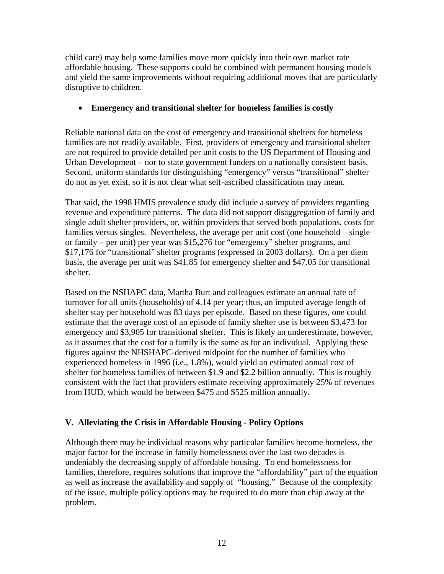child care) may help some families move more quickly into their own market rate affordable housing. These supports could be combined with permanent housing models and yield the same improvements without requiring additional moves that are particularly disruptive to children.

## • **Emergency and transitional shelter for homeless families is costly**

Reliable national data on the cost of emergency and transitional shelters for homeless families are not readily available. First, providers of emergency and transitional shelter are not required to provide detailed per unit costs to the US Department of Housing and Urban Development – nor to state government funders on a nationally consistent basis. Second, uniform standards for distinguishing "emergency" versus "transitional" shelter do not as yet exist, so it is not clear what self-ascribed classifications may mean.

That said, the 1998 HMIS prevalence study did include a survey of providers regarding revenue and expenditure patterns. The data did not support disaggregation of family and single adult shelter providers, or, within providers that served both populations, costs for families versus singles. Nevertheless, the average per unit cost (one household – single or family – per unit) per year was \$15,276 for "emergency" shelter programs, and \$17,176 for "transitional" shelter programs (expressed in 2003 dollars). On a per diem basis, the average per unit was \$41.85 for emergency shelter and \$47.05 for transitional shelter.

Based on the NSHAPC data, Martha Burt and colleagues estimate an annual rate of turnover for all units (households) of 4.14 per year; thus, an imputed average length of shelter stay per household was 83 days per episode. Based on these figures, one could estimate that the average cost of an episode of family shelter use is between \$3,473 for emergency and \$3,905 for transitional shelter. This is likely an underestimate, however, as it assumes that the cost for a family is the same as for an individual. Applying these figures against the NHSHAPC-derived midpoint for the number of families who experienced homeless in 1996 (i.e., 1.8%), would yield an estimated annual cost of shelter for homeless families of between \$1.9 and \$2.2 billion annually. This is roughly consistent with the fact that providers estimate receiving approximately 25% of revenues from HUD, which would be between \$475 and \$525 million annually.

## **V. Alleviating the Crisis in Affordable Housing - Policy Options**

Although there may be individual reasons why particular families become homeless, the major factor for the increase in family homelessness over the last two decades is undeniably the decreasing supply of affordable housing. To end homelessness for families, therefore, requires solutions that improve the "affordability" part of the equation as well as increase the availability and supply of "housing." Because of the complexity of the issue, multiple policy options may be required to do more than chip away at the problem.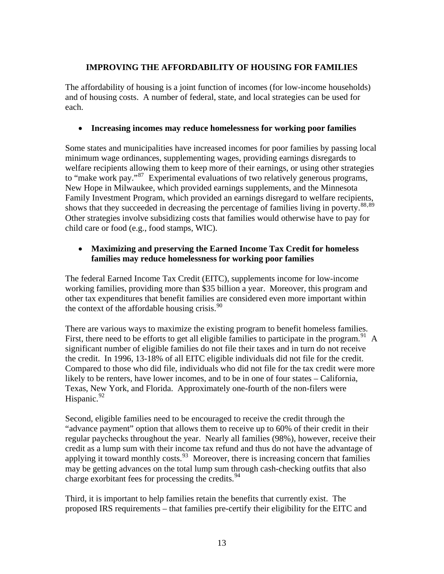## **IMPROVING THE AFFORDABILITY OF HOUSING FOR FAMILIES**

The affordability of housing is a joint function of incomes (for low-income households) and of housing costs. A number of federal, state, and local strategies can be used for each.

#### • **Increasing incomes may reduce homelessness for working poor families**

Some states and municipalities have increased incomes for poor families by passing local minimum wage ordinances, supplementing wages, providing earnings disregards to welfare recipients allowing them to keep more of their earnings, or using other strategies to "make work pay."<sup>[87](#page-27-0)</sup> Experimental evaluations of two relatively generous programs, New Hope in Milwaukee, which provided earnings supplements, and the Minnesota Family Investment Program, which provided an earnings disregard to welfare recipients, shows that they succeeded in decreasing the percentage of families living in poverty.<sup>[88](#page-27-0),[89](#page-27-0)</sup> Other strategies involve subsidizing costs that families would otherwise have to pay for child care or food (e.g., food stamps, WIC).

## • **Maximizing and preserving the Earned Income Tax Credit for homeless families may reduce homelessness for working poor families**

The federal Earned Income Tax Credit (EITC), supplements income for low-income working families, providing more than \$35 billion a year. Moreover, this program and other tax expenditures that benefit families are considered even more important within the context of the affordable housing crisis.  $90$ 

There are various ways to maximize the existing program to benefit homeless families. First, there need to be efforts to get all eligible families to participate in the program.<sup>[91](#page-27-0)</sup> A significant number of eligible families do not file their taxes and in turn do not receive the credit. In 1996, 13-18% of all EITC eligible individuals did not file for the credit. Compared to those who did file, individuals who did not file for the tax credit were more likely to be renters, have lower incomes, and to be in one of four states – California, Texas, New York, and Florida. Approximately one-fourth of the non-filers were Hispanic. $92$ 

Second, eligible families need to be encouraged to receive the credit through the "advance payment" option that allows them to receive up to 60% of their credit in their regular paychecks throughout the year. Nearly all families (98%), however, receive their credit as a lump sum with their income tax refund and thus do not have the advantage of applying it toward monthly costs. $93$  Moreover, there is increasing concern that families may be getting advances on the total lump sum through cash-checking outfits that also charge exorbitant fees for processing the credits.<sup>[94](#page-27-0)</sup>

Third, it is important to help families retain the benefits that currently exist. The proposed IRS requirements – that families pre-certify their eligibility for the EITC and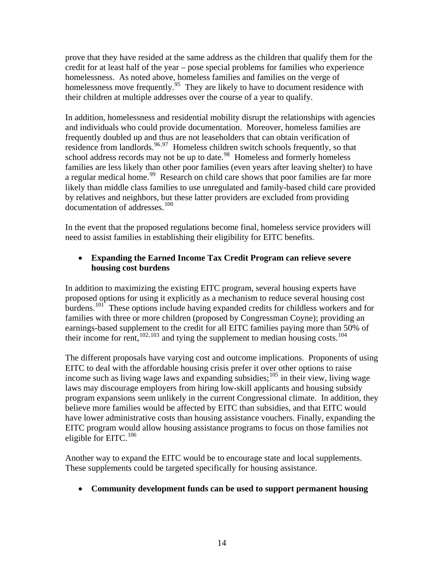prove that they have resided at the same address as the children that qualify them for the credit for at least half of the year – pose special problems for families who experience homelessness. As noted above, homeless families and families on the verge of homelessness move frequently.<sup>[95](#page-27-0)</sup> They are likely to have to document residence with their children at multiple addresses over the course of a year to qualify.

In addition, homelessness and residential mobility disrupt the relationships with agencies and individuals who could provide documentation. Moreover, homeless families are frequently doubled up and thus are not leaseholders that can obtain verification of residence from landlords.<sup>[96](#page-27-0),[97](#page-27-0)</sup> Homeless children switch schools frequently, so that school address records may not be up to date.<sup>[98](#page-27-0)</sup> Homeless and formerly homeless families are less likely than other poor families (even years after leaving shelter) to have a regular medical home.<sup>[99](#page-27-0)</sup> Research on child care shows that poor families are far more likely than middle class families to use unregulated and family-based child care provided by relatives and neighbors, but these latter providers are excluded from providing documentation of addresses.<sup>[100](#page-27-0)</sup>

In the event that the proposed regulations become final, homeless service providers will need to assist families in establishing their eligibility for EITC benefits.

#### • **Expanding the Earned Income Tax Credit Program can relieve severe housing cost burdens**

In addition to maximizing the existing EITC program, several housing experts have proposed options for using it explicitly as a mechanism to reduce several housing cost burdens.<sup>[101](#page-27-0)</sup> These options include having expanded credits for childless workers and for families with three or more children (proposed by Congressman Coyne); providing an earnings-based supplement to the credit for all EITC families paying more than 50% of their income for rent,  $102,103$  $102,103$  $102,103$  and tying the supplement to median housing costs.<sup>104</sup>

The different proposals have varying cost and outcome implications. Proponents of using EITC to deal with the affordable housing crisis prefer it over other options to raise income such as living wage laws and expanding subsidies; $105$  in their view, living wage laws may discourage employers from hiring low-skill applicants and housing subsidy program expansions seem unlikely in the current Congressional climate. In addition, they believe more families would be affected by EITC than subsidies, and that EITC would have lower administrative costs than housing assistance vouchers. Finally, expanding the EITC program would allow housing assistance programs to focus on those families not eligible for EITC.<sup>[106](#page-27-0)</sup>

Another way to expand the EITC would be to encourage state and local supplements. These supplements could be targeted specifically for housing assistance.

## • **Community development funds can be used to support permanent housing**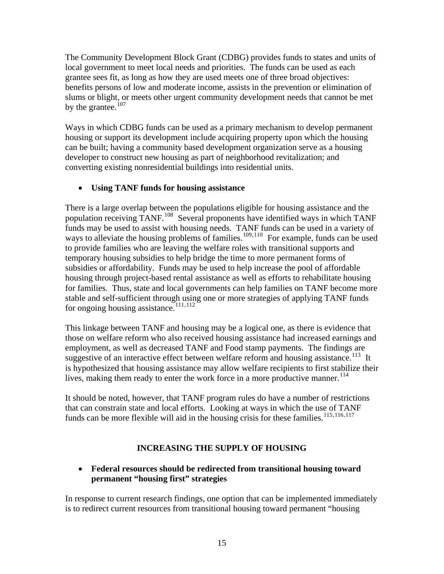The Community Development Block Grant (CDBG) provides funds to states and units of local government to meet local needs and priorities. The funds can be used as each grantee sees fit, as long as how they are used meets one of three broad objectives: benefits persons of low and moderate income, assists in the prevention or elimination of slums or blight, or meets other urgent community development needs that cannot be met by the grantee. $107$ 

Ways in which CDBG funds can be used as a primary mechanism to develop permanent housing or support its development include acquiring property upon which the housing can be built; having a community based development organization serve as a housing developer to construct new housing as part of neighborhood revitalization; and converting existing nonresidential buildings into residential units.

## • **Using TANF funds for housing assistance**

There is a large overlap between the populations eligible for housing assistance and the population receiving TANF.[108](#page-27-0) Several proponents have identified ways in which TANF funds may be used to assist with housing needs. TANF funds can be used in a variety of ways to alleviate the housing problems of families.<sup>[109](#page-27-0),[110](#page-27-0)</sup> For example, funds can be used to provide families who are leaving the welfare roles with transitional supports and temporary housing subsidies to help bridge the time to more permanent forms of subsidies or affordability. Funds may be used to help increase the pool of affordable housing through project-based rental assistance as well as efforts to rehabilitate housing for families. Thus, state and local governments can help families on TANF become more stable and self-sufficient through using one or more strategies of applying TANF funds for ongoing housing assistance.[111](#page-28-0),[112](#page-28-0) 

This linkage between TANF and housing may be a logical one, as there is evidence that those on welfare reform who also received housing assistance had increased earnings and employment, as well as decreased TANF and Food stamp payments. The findings are suggestive of an interactive effect between welfare reform and housing assistance.<sup>[113](#page-28-0)</sup> It is hypothesized that housing assistance may allow welfare recipients to first stabilize thei r lives, making them ready to enter the work force in a more productive manner.<sup>[114](#page-28-0)</sup>

It should be noted, however, that TANF program rules do have a number of restrictions that can constrain state and local efforts. Looking at ways in which the use of TANF funds can be more flexible will aid in the housing crisis for these families.<sup>[115](#page-28-0),[116](#page-28-0),[117](#page-28-0)</sup>

## **INCREASING THE SUPPLY OF HOUSING**

## • **Federal resources should be redirected from transitional housing toward permanent "housing first" strategies**

In response to current research findings, one option that can be implemented immediately is to redirect current resources from transitional housing toward permanent "housing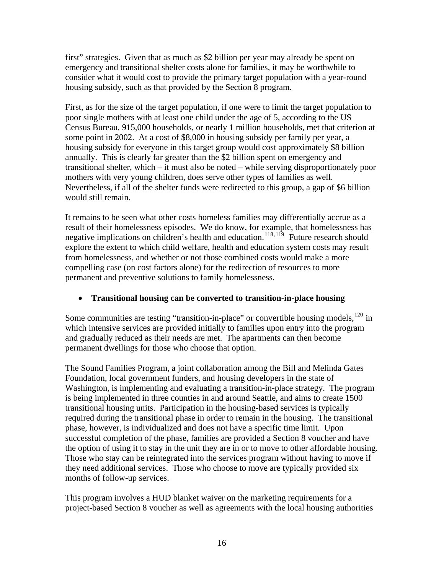first" strategies. Given that as much as \$2 billion per year may already be spent on emergency and transitional shelter costs alone for families, it may be worthwhile to consider what it would cost to provide the primary target population with a year-round housing subsidy, such as that provided by the Section 8 program.

First, as for the size of the target population, if one were to limit the target population to poor single mothers with at least one child under the age of 5, according to the US Census Bureau, 915,000 households, or nearly 1 million households, met that criterion at some point in 2002. At a cost of \$8,000 in housing subsidy per family per year, a housing subsidy for everyone in this target group would cost approximately \$8 billion annually. This is clearly far greater than the \$2 billion spent on emergency and transitional shelter, which – it must also be noted – while serving disproportionately poor mothers with very young children, does serve other types of families as well. Nevertheless, if all of the shelter funds were redirected to this group, a gap of \$6 billion would still remain.

It remains to be seen what other costs homeless families may differentially accrue as a result of their homelessness episodes. We do know, for example, that homelessness has negative implications on children's health and education.<sup>[118](#page-28-0),[119](#page-28-0)</sup> Future research should explore the extent to which child welfare, health and education system costs may result from homelessness, and whether or not those combined costs would make a more compelling case (on cost factors alone) for the redirection of resources to more permanent and preventive solutions to family homelessness.

#### • **Transitional housing can be converted to transition-in-place housing**

Some communities are testing "transition-in-place" or convertible housing models, $120$  in which intensive services are provided initially to families upon entry into the program and gradually reduced as their needs are met. The apartments can then become permanent dwellings for those who choose that option.

The Sound Families Program, a joint collaboration among the Bill and Melinda Gates Foundation, local government funders, and housing developers in the state of Washington, is implementing and evaluating a transition-in-place strategy. The program is being implemented in three counties in and around Seattle, and aims to create 1500 transitional housing units. Participation in the housing-based services is typically required during the transitional phase in order to remain in the housing. The transitional phase, however, is individualized and does not have a specific time limit. Upon successful completion of the phase, families are provided a Section 8 voucher and have the option of using it to stay in the unit they are in or to move to other affordable housing. Those who stay can be reintegrated into the services program without having to move if they need additional services. Those who choose to move are typically provided six months of follow-up services.

This program involves a HUD blanket waiver on the marketing requirements for a project-based Section 8 voucher as well as agreements with the local housing authorities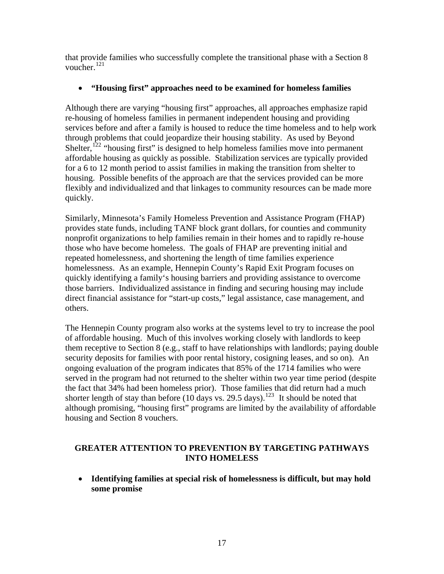that provide families who successfully complete the transitional phase with a Section 8 voucher.[121](#page-28-0)

#### • **"Housing first" approaches need to be examined for homeless families**

Although there are varying "housing first" approaches, all approaches emphasize rapid re-housing of homeless families in permanent independent housing and providing services before and after a family is housed to reduce the time homeless and to help work through problems that could jeopardize their housing stability. As used by Beyond Shelter,<sup>[122](#page-28-0)</sup> "housing first" is designed to help homeless families move into permanent affordable housing as quickly as possible. Stabilization services are typically provided for a 6 to 12 month period to assist families in making the transition from shelter to housing. Possible benefits of the approach are that the services provided can be more flexibly and individualized and that linkages to community resources can be made more quickly.

Similarly, Minnesota's Family Homeless Prevention and Assistance Program (FHAP) provides state funds, including TANF block grant dollars, for counties and community nonprofit organizations to help families remain in their homes and to rapidly re-house those who have become homeless. The goals of FHAP are preventing initial and repeated homelessness, and shortening the length of time families experience homelessness. As an example, Hennepin County's Rapid Exit Program focuses on quickly identifying a family's housing barriers and providing assistance to overcome those barriers. Individualized assistance in finding and securing housing may include direct financial assistance for "start-up costs," legal assistance, case management, and others.

The Hennepin County program also works at the systems level to try to increase the pool of affordable housing. Much of this involves working closely with landlords to keep them receptive to Section 8 (e.g., staff to have relationships with landlords; paying double security deposits for families with poor rental history, cosigning leases, and so on). An ongoing evaluation of the program indicates that 85% of the 1714 families who were served in the program had not returned to the shelter within two year time period (despite the fact that 34% had been homeless prior). Those families that did return had a much shorter length of stay than before (10 days vs. 29.5 days).<sup>[123](#page-28-0)</sup> It should be noted that although promising, "housing first" programs are limited by the availability of affordable housing and Section 8 vouchers.

#### **GREATER ATTENTION TO PREVENTION BY TARGETING PATHWAYS INTO HOMELESS**

• **Identifying families at special risk of homelessness is difficult, but may hold some promise**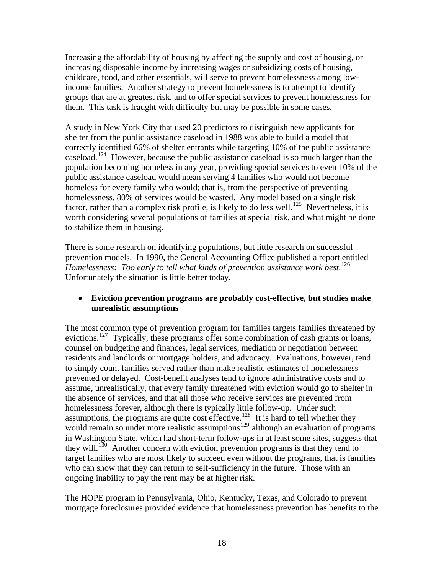Increasing the affordability of housing by affecting the supply and cost of housing, or increasing disposable income by increasing wages or subsidizing costs of housing, childcare, food, and other essentials, will serve to prevent homelessness among lowincome families. Another strategy to prevent homelessness is to attempt to identify groups that are at greatest risk, and to offer special services to prevent homelessness for them. This task is fraught with difficulty but may be possible in some cases.

A study in New York City that used 20 predictors to distinguish new applicants for shelter from the public assistance caseload in 1988 was able to build a model that correctly identified 66% of shelter entrants while targeting 10% of the public assistance caseload.[124](#page-28-0) However, because the public assistance caseload is so much larger than the population becoming homeless in any year, providing special services to even 10% of the public assistance caseload would mean serving 4 families who would not become homeless for every family who would; that is, from the perspective of preventing homelessness, 80% of services would be wasted. Any model based on a single risk factor, rather than a complex risk profile, is likely to do less well.<sup>[125](#page-28-0)</sup> Nevertheless, it is worth considering several populations of families at special risk, and what might be done to stabilize them in housing.

There is some research on identifying populations, but little research on successful prevention models. In 1990, the General Accounting Office published a report entitled *Homelessness: Too early to tell what kinds of prevention assistance work best*. [126](#page-28-0) Unfortunately the situation is little better today.

#### • **Eviction prevention programs are probably cost-effective, but studies make unrealistic assumptions**

The most common type of prevention program for families targets families threatened by evictions.<sup>[127](#page-28-0)</sup> Typically, these programs offer some combination of cash grants or loans, counsel on budgeting and finances, legal services, mediation or negotiation between residents and landlords or mortgage holders, and advocacy. Evaluations, however, tend to simply count families served rather than make realistic estimates of homelessness prevented or delayed. Cost-benefit analyses tend to ignore administrative costs and to assume, unrealistically, that every family threatened with eviction would go to shelter in the absence of services, and that all those who receive services are prevented from homelessness forever, although there is typically little follow-up. Under such assumptions, the programs are quite cost effective.<sup>[128](#page-28-0)</sup> It is hard to tell whether they would remain so under more realistic assumptions<sup>[129](#page-28-0)</sup> although an evaluation of programs in Washington State, which had short-term follow-ups in at least some sites, suggests that they will.<sup>[130](#page-28-0)</sup> Another concern with eviction prevention programs is that they tend to target families who are most likely to succeed even without the programs, that is families who can show that they can return to self-sufficiency in the future. Those with an ongoing inability to pay the rent may be at higher risk.

The HOPE program in Pennsylvania, Ohio, Kentucky, Texas, and Colorado to prevent mortgage foreclosures provided evidence that homelessness prevention has benefits to the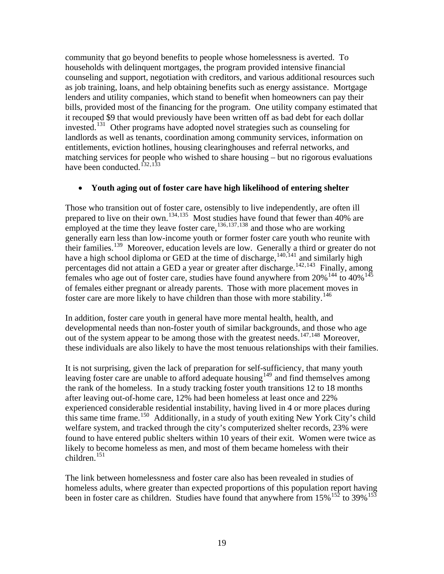community that go beyond benefits to people whose homelessness is averted. To households with delinquent mortgages, the program provided intensive financial counseling and support, negotiation with creditors, and various additional resources such as job training, loans, and help obtaining benefits such as energy assistance. Mortgage lenders and utility companies, which stand to benefit when homeowners can pay their bills, provided most of the financing for the program. One utility company estimated that it recouped \$9 that would previously have been written off as bad debt for each dollar invested.[131](#page-28-0) Other programs have adopted novel strategies such as counseling for landlords as well as tenants, coordination among community services, information on entitlements, eviction hotlines, housing clearinghouses and referral networks, and matching services for people who wished to share housing – but no rigorous evaluations have been conducted.<sup>[132](#page-28-0),[133](#page-28-0)</sup>

#### • **Youth aging out of foster care have high likelihood of entering shelter**

Those who transition out of foster care, ostensibly to live independently, are often ill prepared to live on their own.<sup>[134](#page-28-0),[135](#page-28-0)</sup> Most studies have found that fewer than 40% are employed at the time they leave foster care,<sup>[136](#page-28-0),[137](#page-28-0),[138](#page-28-0)</sup> and those who are working generally earn less than low-income youth or former foster care youth who reunite w ith their families.<sup>[139](#page-28-0)</sup> Moreover, education levels are low. Generally a third or greater do not have a high school diploma or GED at the time of discharge,  $140,141$  $140,141$  $140,141$  and similarly high percentages did not attain a GED a year or greater after discharge.<sup>[142](#page-28-0),[143](#page-28-0)</sup> Finally, among females who age out of foster care, studies have found anywhere from  $20\%^{144}$  $20\%^{144}$  $20\%^{144}$  to  $40\%^{145}$  $40\%^{145}$  $40\%^{145}$ of females either pregnant or already parents. Those with more placement moves in foster care are more likely to have children than those with more stability.<sup>[146](#page-28-0)</sup>

these individuals are also likely to have the most tenuous relationships with their families. In addition, foster care youth in general have more mental health, health, and developmental needs than non-foster youth of similar backgrounds, and those who age out of the system appear to be among those with the greatest needs.<sup>[147](#page-28-0),[148](#page-28-0)</sup> Moreover,

It is not surprising, given the lack of preparation for self-sufficiency, that many youth leaving foster care are unable to afford adequate housing<sup>[149](#page-29-0)</sup> and find themselves among the rank of the homeless. In a study tracking foster youth transitions 12 to 18 months after leaving out-of-home care, 12% had been homeless at least once and 22% experienced considerable residential instability, having lived in 4 or more places during this same time frame.<sup>[150](#page-29-0)</sup> Additionally, in a study of youth exiting New York City's child welfare system, and tracked through the city's computerized shelter records, 23% were found to have entered public shelters within 10 years of their exit. Women were twice as likely to become homeless as men, and most of them became homeless with their  $children.<sup>151</sup>$  $children.<sup>151</sup>$  $children.<sup>151</sup>$ 

The link between homelessness and foster care also has been revealed in studies of homeless adults, where greater than expected proportions of this population report having been in foster care as children. Studies have found that anywhere from  $15\%$   $15\%$  to 39%<sup>[153](#page-29-0)</sup>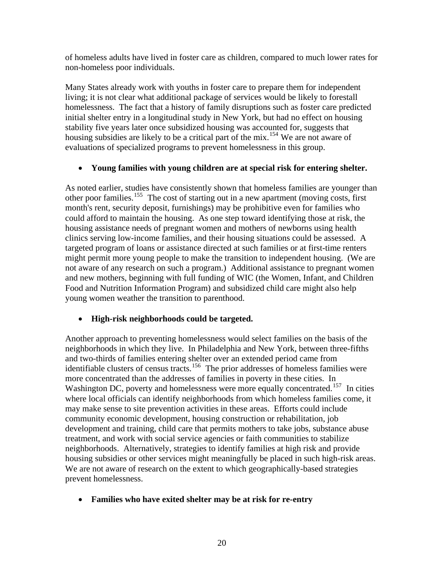of homeless adults have lived in foster care as children, compared to much lower rates for non-homeless poor individuals.

Many States already work with youths in foster care to prepare them for independent living; it is not clear what additional package of services would be likely to forestall homelessness. The fact that a history of family disruptions such as foster care predicted initial shelter entry in a longitudinal study in New York, but had no effect on housing stability five years later once subsidized housing was accounted for, suggests that housing subsidies are likely to be a critical part of the mix.<sup>[154](#page-29-0)</sup> We are not aware of evaluations of specialized programs to prevent homelessness in this group.

#### • **Young families with young children are at special risk for entering shelter.**

As noted earlier, studies have consistently shown that homeless families are younger than other poor families.<sup>[155](#page-29-0)</sup> The cost of starting out in a new apartment (moving costs, first month's rent, security deposit, furnishings) may be prohibitive even for families who could afford to maintain the housing. As one step toward identifying those at risk, the housing assistance needs of pregnant women and mothers of newborns using health clinics serving low-income families, and their housing situations could be assessed. A targeted program of loans or assistance directed at such families or at first-time renters might permit more young people to make the transition to independent housing. (We are not aware of any research on such a program.) Additional assistance to pregnant women and new mothers, beginning with full funding of WIC (the Women, Infant, and Children Food and Nutrition Information Program) and subsidized child care might also help young women weather the transition to parenthood.

#### • **High-risk neighborhoods could be targeted.**

Another approach to preventing homelessness would select families on the basis of the neighborhoods in which they live. In Philadelphia and New York, between three-fifths and two-thirds of families entering shelter over an extended period came from identifiable clusters of census tracts.<sup>[156](#page-29-0)</sup> The prior addresses of homeless families were more concentrated than the addresses of families in poverty in these cities. In Washington DC, poverty and homelessness were more equally concentrated.<sup>[157](#page-29-0)</sup> In cities where local officials can identify neighborhoods from which homeless families come, it may make sense to site prevention activities in these areas. Efforts could include community economic development, housing construction or rehabilitation, job development and training, child care that permits mothers to take jobs, substance abuse treatment, and work with social service agencies or faith communities to stabilize neighborhoods. Alternatively, strategies to identify families at high risk and provide housing subsidies or other services might meaningfully be placed in such high-risk areas. We are not aware of research on the extent to which geographically-based strategies prevent homelessness.

#### • **Families who have exited shelter may be at risk for re-entry**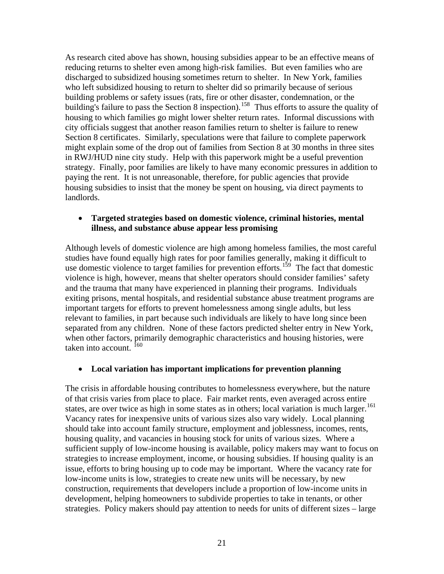As research cited above has shown, housing subsidies appear to be an effective means of reducing returns to shelter even among high-risk families. But even families who are discharged to subsidized housing sometimes return to shelter. In New York, families who left subsidized housing to return to shelter did so primarily because of serious building problems or safety issues (rats, fire or other disaster, condemnation, or the building's failure to pass the Section 8 inspection).<sup>[158](#page-29-0)</sup> Thus efforts to assure the quality of housing to which families go might lower shelter return rates. Informal discussions with city officials suggest that another reason families return to shelter is failure to renew Section 8 certificates. Similarly, speculations were that failure to complete paperwork might explain some of the drop out of families from Section 8 at 30 months in three sites in RWJ/HUD nine city study. Help with this paperwork might be a useful prevention strategy. Finally, poor families are likely to have many economic pressures in addition to paying the rent. It is not unreasonable, therefore, for public agencies that provide housing subsidies to insist that the money be spent on housing, via direct payments to landlords.

#### • **Targeted strategies based on domestic violence, criminal histories, mental illness, and substance abuse appear less promising**

Although levels of domestic violence are high among homeless families, the most careful studies have found equally high rates for poor families generally, making it difficult to use domestic violence to target families for prevention efforts.<sup>[159](#page-29-0)</sup> The fact that domestic violence is high, however, means that shelter operators should consider families' safety and the trauma that many have experienced in planning their programs. Individuals exiting prisons, mental hospitals, and residential substance abuse treatment programs are important targets for efforts to prevent homelessness among single adults, but less relevant to families, in part because such individuals are likely to have long since been separated from any children. None of these factors predicted shelter entry in New York, when other factors, primarily demographic characteristics and housing histories, were taken into account. <sup>[160](#page-29-0)</sup>

#### • **Local variation has important implications for prevention planning**

The crisis in affordable housing contributes to homelessness everywhere, but the nature of that crisis varies from place to place. Fair market rents, even averaged across entire states, are over twice as high in some states as in others; local variation is much larger.<sup>[161](#page-29-0)</sup> Vacancy rates for inexpensive units of various sizes also vary widely. Local planning should take into account family structure, employment and joblessness, incomes, rents, housing quality, and vacancies in housing stock for units of various sizes. Where a sufficient supply of low-income housing is available, policy makers may want to focus on strategies to increase employment, income, or housing subsidies. If housing quality is an issue, efforts to bring housing up to code may be important. Where the vacancy rate for low-income units is low, strategies to create new units will be necessary, by new construction, requirements that developers include a proportion of low-income units in development, helping homeowners to subdivide properties to take in tenants, or other strategies. Policy makers should pay attention to needs for units of different sizes – large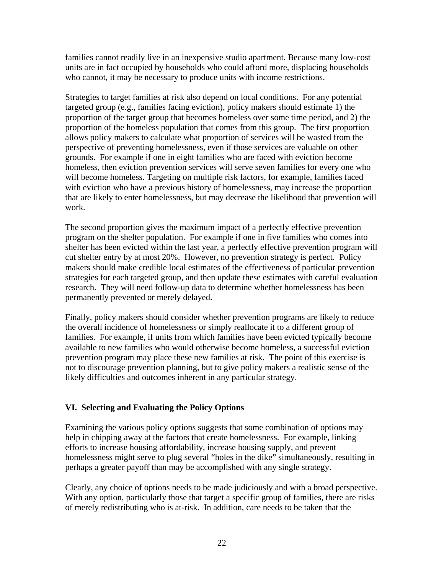families cannot readily live in an inexpensive studio apartment. Because many low-cost units are in fact occupied by households who could afford more, displacing households who cannot, it may be necessary to produce units with income restrictions.

Strategies to target families at risk also depend on local conditions. For any potential targeted group (e.g., families facing eviction), policy makers should estimate 1) the proportion of the target group that becomes homeless over some time period, and 2) the proportion of the homeless population that comes from this group. The first proportion allows policy makers to calculate what proportion of services will be wasted from the perspective of preventing homelessness, even if those services are valuable on other grounds. For example if one in eight families who are faced with eviction become homeless, then eviction prevention services will serve seven families for every one who will become homeless. Targeting on multiple risk factors, for example, families faced with eviction who have a previous history of homelessness, may increase the proportion that are likely to enter homelessness, but may decrease the likelihood that prevention will work.

The second proportion gives the maximum impact of a perfectly effective prevention program on the shelter population. For example if one in five families who comes into shelter has been evicted within the last year, a perfectly effective prevention program will cut shelter entry by at most 20%. However, no prevention strategy is perfect. Policy makers should make credible local estimates of the effectiveness of particular prevention strategies for each targeted group, and then update these estimates with careful evaluation research. They will need follow-up data to determine whether homelessness has been permanently prevented or merely delayed.

Finally, policy makers should consider whether prevention programs are likely to reduce the overall incidence of homelessness or simply reallocate it to a different group of families. For example, if units from which families have been evicted typically become available to new families who would otherwise become homeless, a successful eviction prevention program may place these new families at risk. The point of this exercise is not to discourage prevention planning, but to give policy makers a realistic sense of the likely difficulties and outcomes inherent in any particular strategy.

#### **VI. Selecting and Evaluating the Policy Options**

Examining the various policy options suggests that some combination of options may help in chipping away at the factors that create homelessness. For example, linking efforts to increase housing affordability, increase housing supply, and prevent homelessness might serve to plug several "holes in the dike" simultaneously, resulting in perhaps a greater payoff than may be accomplished with any single strategy.

Clearly, any choice of options needs to be made judiciously and with a broad perspective. With any option, particularly those that target a specific group of families, there are risks of merely redistributing who is at-risk. In addition, care needs to be taken that the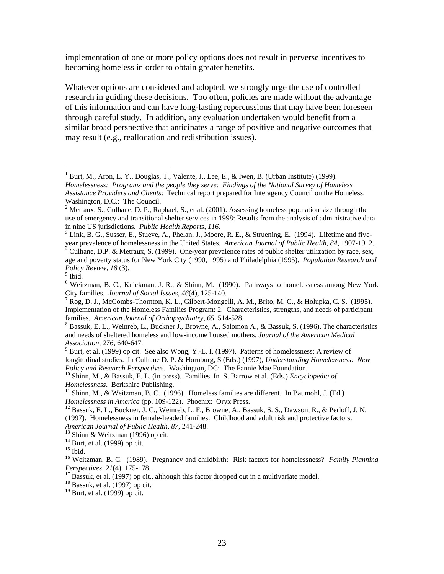<span id="page-24-1"></span>implementation of one or more policy options does not result in perverse incentives to becoming homeless in order to obtain greater benefits.

Whatever options are considered and adopted, we strongly urge the use of controlled research in guiding these decisions. Too often, policies are made without the advantage of this information and can have long-lasting repercussions that may have been foreseen through careful study. In addition, any evaluation undertaken would benefit from a similar broad perspective that anticipates a range of positive and negative outcomes that may result (e.g., reallocation and redistribution issues).

Culhane, D.P. & Metraux, S. (1999). One-year prevalence rates of public shelter utilization by race, sex,

 $\overline{a}$ 

 $8$  Bassuk, E. L., Weinreb, L., Buckner J., Browne, A., Salomon A., & Bassuk, S. (1996). The characteristics and needs of sheltered homeless and low-income housed mothers. *Journal of the American Medical Association, 276,* 640-647*.* <sup>9</sup>

<sup>9</sup> Burt, et al. (1999) op cit. See also Wong, Y.-L. I. (1997). Patterns of homelessness: A review of longitudinal studies. In Culhane D. P. & Hornburg, S (Eds.) (1997), *Understanding Homelessness: New Policy and Research Perspectives.* Washington, DC: The Fannie Mae Foundation.<br><sup>10</sup> Shinn, M., & Bassuk, E. L. (in press). Families. In S. Barrow et al. (Eds.) *Encyclopedia of* 

<span id="page-24-0"></span> $1$  Burt, M., Aron, L. Y., Douglas, T., Valente, J., Lee, E., & Iwen, B. (Urban Institute) (1999). *Homelessness: Programs and the people they serve: Findings of the National Survey of Homeless Assistance Providers and Clients*: Technical report prepared for Interagency Council on the Homeless. Washington, D.C.: The Council.

<sup>&</sup>lt;sup>2</sup> Metraux, S., Culhane, D. P., Raphael, S., et al. (2001). Assessing homeless population size through the use of emergency and transitional shelter services in 1998: Results from the analysis of administrative data in nine US jurisdictions. *Public Health Reports*, *116*. 3

 $3$  Link, B. G., Susser, E., Stueve, A., Phelan, J., Moore, R. E., & Struening, E. (1994). Lifetime and fiveyear prevalence of homelessness in the United States. *American Journal of Public Health, 84*, 1907-1912. 4

age and poverty status for New York City (1990, 1995) and Philadelphia (1995). *Population Research and Policy Review*, *18* (3). 5

 $<sup>5</sup>$  Ibid.</sup>

<sup>&</sup>lt;sup>6</sup> Weitzman, B. C., Knickman, J. R., & Shinn, M. (1990). Pathways to homelessness among New York City families. *Journal of Social Issues, 46*(4), 125-140. 7

<sup>&</sup>lt;sup>7</sup> Rog, D. J., McCombs-Thornton, K. L., Gilbert-Mongelli, A. M., Brito, M. C., & Holupka, C. S. (1995). Implementation of the Homeless Families Program: 2. Characteristics, strengths, and needs of participant families. American Journal of Orthopsychiatry, 65, 514-528.

*Homelessness.* Berkshire Publishing.<br><sup>11</sup> Shinn, M., & Weitzman, B. C. (1996). Homeless families are different. In Baumohl, J. (Ed.)<br>*Homelessness in America* (pp. 109-122). Phoenix: Oryx Press.

<sup>&</sup>lt;sup>12</sup> Bassuk, E. L., Buckner, J. C., Weinreb, L. F., Browne, A., Bassuk, S. S., Dawson, R., & Perloff, J. N. (1997). Homelessness in female-headed families: Childhood and adult risk and protective factors. *American Journal of Public Health, 87*, 241-248. 13 Shinn & Weitzman (1996) op cit.

 $14$  Burt, et al. (1999) op cit.

 $15$  Ibid.

<sup>16</sup> Weitzman, B. C. (1989). Pregnancy and childbirth: Risk factors for homelessness? *Family Planning Perspectives, 21*(4), 175-178.<br><sup>17</sup> Bassuk, et al. (1997) op cit., although this factor dropped out in a multivariate model.

 $18$  Bassuk, et al. (1997) op cit.

 $19$  Burt, et al. (1999) op cit.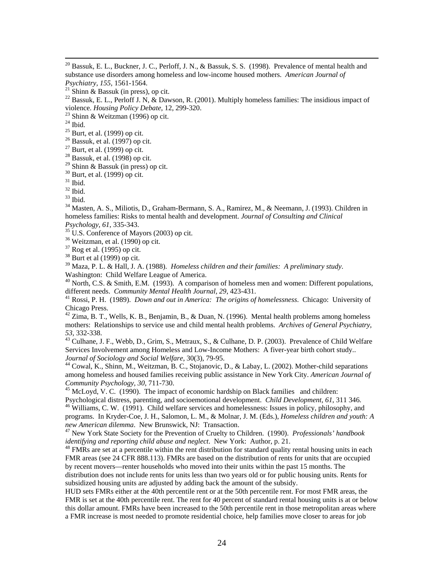<span id="page-25-0"></span><sup>20</sup> Bassuk, E. L., Buckner, J. C., Perloff, J. N., & Bassuk, S. S. (1998). Prevalence of mental health and substance use disorders among homeless and low-income housed mothers. *American Journal of* 

<sup>22</sup> Bassuk, E. L., Perloff J. N, & Dawson, R. (2001). Multiply homeless families: The insidious impact of violence. *Housing Policy Debate*, 12, 299-320. 23 Shinn & Weitzman (1996) op cit.

 $^\mathrm{24}$  Ibid.

 $25$  Burt, et al. (1999) op cit.

 $26$  Bassuk, et al. (1997) op cit.

- $27$  Burt, et al. (1999) op cit.
- $28$  Bassuk, et al. (1998) op cit.

 $29$  Shinn & Bassuk (in press) op cit.

 $30$  Burt, et al. (1999) op cit.

 $31$  Ibid.

 $32$  Ibid.

33 Ibid.

<sup>34</sup> Masten, A. S., Miliotis, D., Graham-Bermann, S. A., Ramirez, M., & Neemann, J. (1993). Children in homeless families: Risks to mental health and development. *Journal of Consulting and Clinical* 

 $\frac{35}{35}$  U.S. Conference of Mayors (2003) op cit.

36 Weitzman, et al. (1990) op cit.

 $37$  Rog et al. (1995) op cit.

 $38$  Burt et al (1999) op cit.

39 Maza, P. L. & Hall, J. A. (1988). *Homeless children and their families: A preliminary study*.

<sup>40</sup> North, C.S. & Smith, E.M. (1993). A comparison of homeless men and women: Different populations. different needs. *Community Mental Health Journal, 29, 423-431*.<br><sup>41</sup> Rossi, P. H. (1989). *Down and out in America: The origins of homelessness.* Chicago: University of

Chicago Press.

 $^{42}$  Zima, B. T., Wells, K. B., Benjamin, B., & Duan, N. (1996). Mental health problems among homeless mothers: Relationships to service use and child mental health problems. *Archives of General Psychiatry, 53,* 332-338. 43 Culhane, J. F., Webb, D., Grim, S., Metraux, S., & Culhane, D. P. (2003). Prevalence of Child Welfare

Services Involvement among Homeless and Low-Income Mothers: A fiver-year birth cohort study..

*Journal of Sociology and Social Welfare*, 30(3), 79-95.<br><sup>44</sup> Cowal, K., Shinn, M., Weitzman, B. C., Stojanovic, D., & Labay, L. (2002). Mother-child separations among homeless and housed families receiving public assistance in New York City. *American Journal of* 

<sup>45</sup> McLoyd, V. C. (1990). The impact of economic hardship on Black families and children:<br>Psychological distress, parenting, and socioemotional development. *Child Development*, 61, 311 346.

<sup>46</sup> Williams, C. W. (1991). Child welfare services and homelessness: Issues in policy, philosophy, and programs. In Kryder-Coe, J. H., Salomon, L. M., & Molnar, J. M. (Eds.), *Homeless children and youth: A* 

*new American dilemma.* New Brunswick, NJ: Transaction.<br><sup>47</sup> New York State Society for the Prevention of Cruelty to Children. (1990). *Professionals' handbook* 

*identifying and reporting child abuse and neglect*. New York: Author, p. 21.<br><sup>48</sup> FMRs are set at a percentile within the rent distribution for standard quality rental housing units in each FMR areas (see 24 CFR 888.113). FMRs are based on the distribution of rents for units that are occupied by recent movers—renter households who moved into their units within the past 15 months. The distribution does not include rents for units less than two years old or for public housing units. Rents for subsidized housing units are adjusted by adding back the amount of the subsidy.

HUD sets FMRs either at the 40th percentile rent or at the 50th percentile rent. For most FMR areas, the FMR is set at the 40th percentile rent. The rent for 40 percent of standard rental housing units is at or below this dollar amount. FMRs have been increased to the 50th percentile rent in those metropolitan areas where a FMR increase is most needed to promote residential choice, help families move closer to areas for job

*Psychiatry, 155, 1561-1564.*<br><sup>21</sup> Shinn & Bassuk (in press), op cit.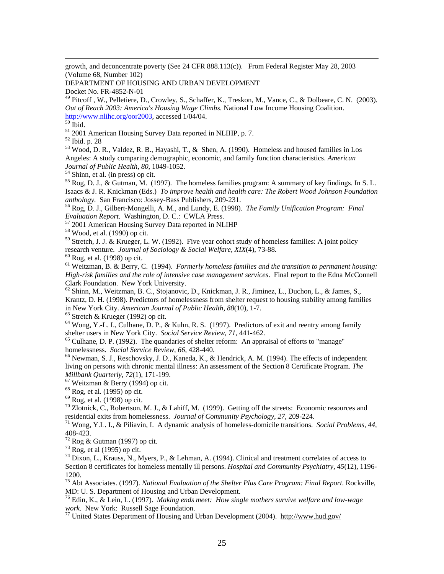<span id="page-26-0"></span> growth, and deconcentrate poverty (See 24 CFR 888.113(c)). From Federal Register May 28, 2003 (Volume 68, Number 102)

DEPARTMENT OF HOUSING AND URBAN DEVELOPMENT

Docket No. FR-4852-N-01

<sup>49</sup> Pitcoff, W., Pelletiere, D., Crowley, S., Schaffer, K., Treskon, M., Vance, C., & Dolbeare, C. N. (2003). *Out of Reach 2003: America's Housing Wage Climbs.* National Low Income Housing Coalition.  $\frac{http://www.nlike.org/oor2003}{50}$  $\frac{http://www.nlike.org/oor2003}{50}$  $\frac{http://www.nlike.org/oor2003}{50}$ , accessed 1/04/04.

 $\frac{51}{2001}$  2001 American Housing Survey Data reported in NLIHP, p. 7.  $\frac{52}{2001}$  Ibid. p. 28

 $^{53}$  Wood, D. R., Valdez, R. B., Hayashi, T., & Shen, A. (1990). Homeless and housed families in Los Angeles: A study comparing demographic, economic, and family function characteristics. *American Journal of Public Health, 80*, 1049-1052. 54 Shinn, et al. (in press) op cit.

 $^{55}$  Rog, D. J., & Gutman, M. (1997). The homeless families program: A summary of key findings. In S. L. Isaacs & J. R. Knickman (Eds.) *To improve health and health care: The Robert Wood Johnson Foundation* 

<sup>56</sup> Rog, D. J., Gilbert-Mongelli, A. M., and Lundy, E. (1998). *The Family Unification Program: Final Evaluation Report.* Washington, D. C.: CWLA Press. 57 2001 American Housing Survey Data reported in NLIHP 58 Wood, et al. (1990) op cit.

 $59$  Stretch, J. J. & Krueger, L. W. (1992). Five year cohort study of homeless families: A joint policy research venture. *Journal of Sociology & Social Welfare, XIX*(4), 73-88. <sup>60</sup> Rog, et al. (1998) op cit.

61 Weitzman, B. & Berry, C. (1994). *Formerly homeless families and the transition to permanent housing: High-risk families and the role of intensive case management services*. Final report to the Edna McConnell Clark Foundation. New York University.

62 Shinn, M., Weitzman, B. C., Stojanovic, D., Knickman, J. R., Jiminez, L., Duchon, L., & James, S., Krantz, D. H. (1998). Predictors of homelessness from shelter request to housing stability among families in New York City. *American Journal of Public Health, 88*(10), 1-7. <sup>63</sup> Stretch & Krueger (1992) op cit.

<sup>64</sup> Wong, Y.-L. I., Culhane, D. P., & Kuhn, R. S. (1997). Predictors of exit and reentry among family shelter users in New York City. *Social Service Review*, 71, 441-462.

<sup>65</sup> Culhane, D. P. (1992). The quandaries of shelter reform: An appraisal of efforts to "manage" homelessness. *Social Service Review*, 66, 428-440.

<sup>66</sup> Newman, S. J., Reschovsky, J. D., Kaneda, K., & Hendrick, A. M. (1994). The effects of independent living on persons with chronic mental illness: An assessment of the Section 8 Certificate Program. *The* 

<sup>67</sup> Weitzman & Berry (1994) op cit.

 $68$  Rog, et al. (1995) op cit.

 $69$  Rog, et al. (1998) op cit.

 $\frac{70}{2}$  Zlotnick, C., Robertson, M. J., & Lahiff, M. (1999). Getting off the streets: Economic resources and residential exits from homelessness. *Journal of Community Psychology, 27*, 209-224. 71 Wong, Y.L. I., & Piliavin, I. A dynamic analysis of homeless-domicile transitions. *Social Problems, 44,*

408-423.

 $72$  Rog & Gutman (1997) op cit.

 $73$  Rog, et al (1995) op cit.

 $74$  Dixon, L., Krauss, N., Myers, P., & Lehman, A. (1994). Clinical and treatment correlates of access to Section 8 certificates for homeless mentally ill persons. *Hospital and Community Psychiatry, 45*(12), 1196- 1200.

75 Abt Associates. (1997). *National Evaluation of the Shelter Plus Care Program: Final Report*. Rockville, MD: U. S. Department of Housing and Urban Development.

76 Edin, K., & Lein, L. (1997). *Making ends meet: How single mothers survive welfare and low-wage* 

<sup>77</sup> United States Department of Housing and Urban Development (2004). http://www.hud.gov/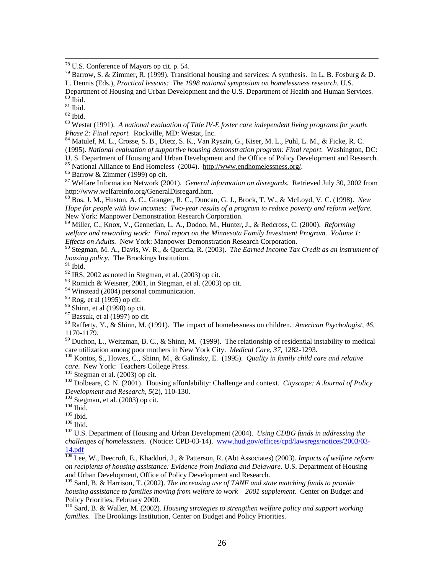<span id="page-27-0"></span>78 U.S. Conference of Mayors op cit. p. 54.

<sup>79</sup> Barrow, S. & Zimmer, R. (1999). Transitional housing and services: A synthesis. In L. B. Fosburg & D. L. Dennis (Eds.), *Practical lessons: The 1998 national symposium on homelessness research.* U.S.

Department of Housing and Urban Development and the U.S. Department of Health and Human Services.

 $80$  Ibid.

 $81$  Ibid.

 $82$  Ibid.

<sup>83</sup> Westat (1991). *A national evaluation of Title IV-E foster care independent living programs for youth. Phase 2: Final report.* Rockville, MD: Westat, Inc.

<sup>84</sup> Matulef, M. L., Crosse, S. B., Dietz, S. K., Van Ryszin, G., Kiser, M. L., Puhl, L. M., & Ficke, R. C. (1995). *National evaluation of supportive housing demonstration program: Final report.* Washington, DC:

U. S. Department of Housing and Urban Development and the Office of Policy Development and Research.

<sup>85</sup> National Alliance to End Homeless (2004). http://www.endhomelessness.org/. <sup>86</sup> Barrow & Zimmer (1999) op cit.

87 Welfare Information Network (2001). *General information on disregards.* Retrieved July 30, 2002 from http://www.welfareinfo.org/GeneralDisregard.htm.<br><sup>88</sup> Bos, J. M., Huston, A. C., Granger, R. C., Duncan, G. J., Brock, T. W., & McLoyd, V. C. (1998). *New* 

*Hope for people with low incomes: Two-year results of a program to reduce poverty and reform welfare.* New York: Manpower Demonstration Research Corporation.

89 Miller, C., Knox, V., Gennetian, L. A., Dodoo, M., Hunter, J., & Redcross, C. (2000). *Reforming welfare and rewarding work: Final report on the Minnesota Family Investment Program. Volume 1: Effects on Adults.* New York: Manpower Demonstration Research Corporation.

90 Stegman, M. A., Davis, W. R., & Quercia, R. (2003). *The Earned Income Tax Credit as an instrument of housing policy*. The Brookings Institution.

 $^{91}$  Ibid.

 $92$  IRS, 2002 as noted in Stegman, et al. (2003) op cit.

 $93$  Romich & Weisner, 2001, in Stegman, et al. (2003) op cit.

<sup>94</sup> Winstead (2004) personal communication.

95 Rog, et al (1995) op cit.

96 Shinn, et al (1998) op cit.

 $97$  Bassuk, et al (1997) op cit.

98 Rafferty, Y., & Shinn, M. (1991). The impact of homelessness on children. *American Psychologist, 46*, 1170-1179.

<sup>99</sup> Duchon, L., Weitzman, B. C., & Shinn, M. (1999). The relationship of residential instability to medical

care utilization among poor mothers in New York City. *Medical Care, 37*, 1282-1293<u>.</u><br><sup>100</sup> Kontos, S., Howes, C., Shinn, M., & Galinsky, E. (1995). *Quality in family child care and relative care*. New York: Teachers C

<sup>101</sup> Stegman et al. (2003) op cit.<br><sup>102</sup> Dolbeare, C. N. (2001). Housing affordability: Challenge and context. *Cityscape: A Journal of Policy*<br>*Development and Research*, 5(2), 110-130.

<sup>103</sup> Stegman, et al. (2003) op cit.<br><sup>104</sup> Ibid.<br><sup>105</sup> Ibid. <sup>107</sup> U.S. Department of Housing and Urban Development (2004). *Using CDBG funds in addressing the challenges of homelessness.* (Notice: CPD-03-14). [www.hud.gov/offices/cpd/lawsregs/notices/2003/03-](http://www.hud.gov/offices/cpd/lawsregs/notices/2003/03-14.pdf) [14.pdf](http://www.hud.gov/offices/cpd/lawsregs/notices/2003/03-14.pdf)

108 Lee, W., Beecroft, E., Khadduri, J., & Patterson, R. (Abt Associates) (2003). *Impacts of welfare reform on recipients of housing assistance: Evidence from Indiana and Delaware.* U.S. Department of Housing and Urban Development, Office of Policy Development and Research.

109 Sard, B. & Harrison, T. (2002). *The increasing use of TANF and state matching funds to provide housing assistance to families moving from welfare to work – 2001 supplement.* Center on Budget and Policy Priorities, February 2000.

110 Sard, B. & Waller, M. (2002). *Housing strategies to strengthen welfare policy and support working families.* The Brookings Institution, Center on Budget and Policy Priorities.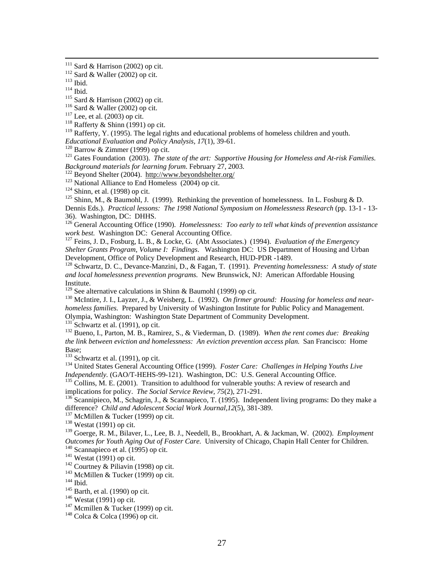<span id="page-28-0"></span><sup>111</sup> Sard & Harrison (2002) op cit.<br>
<sup>112</sup> Sard & Waller (2002) op cit.<br>
<sup>113</sup> Ibid.<br>
<sup>115</sup> Sard & Harrison (2002) op cit.<br>
<sup>116</sup> Sard & Waller (2002) op cit.<br>
<sup>117</sup> Lee, et al. (2003) op cit.<br>
<sup>118</sup> Rafferty & Shinn (19

 $119$  Rafferty, Y. (1995). The legal rights and educational problems of homeless children and youth.

*Educational Evaluation and Policy Analysis, 17(1), 39-61.* 120 Barrow & Zimmer (1999) op cit. 121 Gates Foundation (2003). *The state of the art: Supportive Housing for Homeless and At-risk Families. Background materials for learning forum.* February 27, 2003.<br>
<sup>122</sup> Beyond Shelter (2004). http://www.beyondshelter.org/<br>
<sup>122</sup> National Alliance to End Homeless (2004) op cit.<br>
<sup>124</sup> Shinn, et al. (1998) op cit.<br>
<sup>124</sup>

Dennis Eds.). *Practical lessons: The 1998 National Symposium on Homelessness Research* (pp. 13-1 - 13- 36). Washington, DC: DHHS.

126 General Accounting Office (1990). *Homelessness: Too early to tell what kinds of prevention assistance* work best. Washington DC: General Accounting Office.

<sup>127</sup> Feins, J. D., Fosburg, L. B., & Locke, G. (Abt Associates.) (1994). *Evaluation of the Emergency Shelter Grants Program, Volume I: Findings*. Washington DC: US Department of Housing and Urban Development, Office of Policy Development and Research, HUD-PDR -1489.

128 Schwartz, D. C., Devance-Manzini, D., & Fagan, T. (1991). *Preventing homelessness: A study of state and local homelessness prevention programs.* New Brunswick, NJ: American Affordable Housing Institute.<br><sup>129</sup> See alternative calculations in Shinn & Baumohl (1999) op cit.

<sup>130</sup> McIntire, J. I., Layzer, J., & Weisberg, L. (1992). *On firmer ground: Housing for homeless and nearhomeless families.* Prepared by University of Washington Institute for Public Policy and Management. Olympia, Washington: Washington State Department of Community Development.

<sup>132</sup> Bueno, I., Parton, M. B., Ramirez, S., & Viederman, D. (1989). *When the rent comes due: Breaking the link between eviction and homelessness: An eviction prevention access plan*. San Francisco: Home Base;<br><sup>133</sup> Schwartz et al. (1991), op cit.

134 United States General Accounting Office (1999). *Foster Care: Challenges in Helping Youths Live*<br>*Independently.* (GAO/T-HEHS-99-121). Washington, DC: U.S. General Accounting Office.

<sup>135</sup> Collins, M. E. (2001). Transition to adulthood for vulnerable youths: A review of research and implications for policy. *The Social Service Review*, 75(2), 271-291.

<sup>136</sup> Scannipieco, M., Schagrin, J., & Scannapieco, T. (1995). Independent living programs: Do they make a difference? *Child and Adolescent Social Work Journal,12(5), 381-389.* <sup>137</sup> McMillen & Tucker (1999) op cit. <sup>138</sup> Westat (1991) op cit.

139 Goerge, R. M., Bilaver, L., Lee, B. J., Needell, B., Brookhart, A. & Jackman, W. (2002). *Employment*  Outcomes for Youth Aging Out of Foster Care. University of Chicago, Chapin Hall Center for Children.<br>
<sup>140</sup> Scannapieco et al. (1995) op cit.<br>
<sup>141</sup> Westat (1991) op cit.<br>
<sup>142</sup> Courtney & Piliavin (1998) op cit.<br>
<sup>143</sup> M